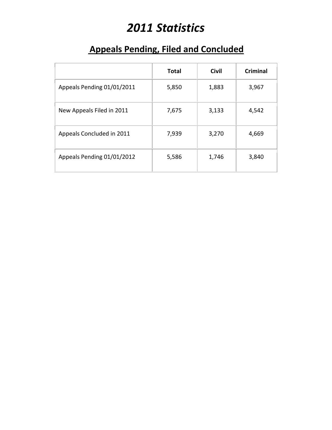# *2011 Statistics*

### **Appeals Pending, Filed and Concluded**

|                            | <b>Total</b> | <b>Civil</b> | Criminal |
|----------------------------|--------------|--------------|----------|
| Appeals Pending 01/01/2011 | 5,850        | 1,883        | 3,967    |
| New Appeals Filed in 2011  | 7,675        | 3,133        | 4,542    |
| Appeals Concluded in 2011  | 7,939        | 3,270        | 4,669    |
| Appeals Pending 01/01/2012 | 5,586        | 1,746        | 3,840    |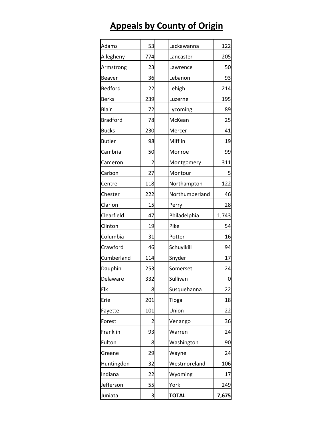# **Appeals by County of Origin**

| Adams           | 53             | Lackawanna     | 122   |
|-----------------|----------------|----------------|-------|
| Allegheny       | 774            | Lancaster      | 205   |
| Armstrong       | 23             | Lawrence       | 50    |
| Beaver          | 36             | Lebanon        | 93    |
| Bedford         | 22             | Lehigh         | 214   |
| <b>Berks</b>    | 239            | Luzerne        | 195   |
| Blair           | 72             | Lycoming       | 89    |
| <b>Bradford</b> | 78             | McKean         | 25    |
| <b>Bucks</b>    | 230            | Mercer         | 41    |
| <b>Butler</b>   | 98             | Mifflin        | 19    |
| Cambria         | 50             | Monroe         | 99    |
| Cameron         | 2              | Montgomery     | 311   |
| Carbon          | 27             | Montour        | 5     |
| Centre          | 118            | Northampton    | 122   |
| Chester         | 222            | Northumberland | 46    |
| Clarion         | 15             | Perry          | 28    |
| Clearfield      | 47             | Philadelphia   | 1,743 |
| Clinton         | 19             | Pike           | 54    |
| Columbia        | 31             | Potter         | 16    |
| Crawford        | 46             | Schuylkill     | 94    |
| Cumberland      | 114            | Snyder         | 17    |
| Dauphin         | 253            | Somerset       | 24    |
| Delaware        | 332            | Sullivan       | 0     |
| Elk             | 8              | Susquehanna    | 22    |
| Erie            | 201            | Tioga          | 18    |
| Fayette         | 101            | Union          | 22    |
| Forest          | $\overline{c}$ | Venango        | 36    |
| Franklin        | 93             | Warren         | 24    |
| Fulton          | 8              | Washington     | 90    |
| Greene          | 29             | Wayne          | 24    |
| Huntingdon      | 32             | Westmoreland   | 106   |
| Indiana         | 22             | Wyoming        | 17    |
| Jefferson       | 55             | York           | 249   |
| Juniata         | 3              | <b>TOTAL</b>   | 7,675 |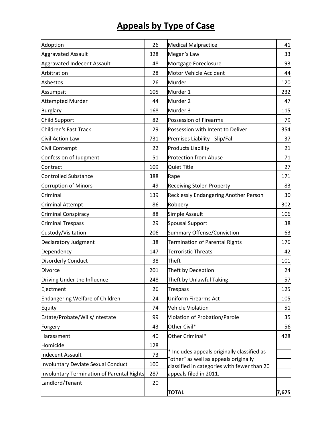# **Appeals by Type of Case**

| Adoption                                   | 26  | <b>Medical Malpractice</b>                                                           | 41    |
|--------------------------------------------|-----|--------------------------------------------------------------------------------------|-------|
| <b>Aggravated Assault</b>                  | 328 | Megan's Law                                                                          | 33    |
| Aggravated Indecent Assault                | 48  | Mortgage Foreclosure                                                                 | 93    |
| Arbitration                                | 28  | Motor Vehicle Accident                                                               | 44    |
| Asbestos                                   | 26  | Murder                                                                               | 120   |
| Assumpsit                                  | 105 | Murder 1                                                                             | 232   |
| <b>Attempted Murder</b>                    | 44  | Murder <sub>2</sub>                                                                  | 47    |
| <b>Burglary</b>                            | 168 | Murder 3                                                                             | 115   |
| <b>Child Support</b>                       | 82  | <b>Possession of Firearms</b>                                                        | 79    |
| <b>Children's Fast Track</b>               | 29  | Possession with Intent to Deliver                                                    | 354   |
| Civil Action Law                           | 731 | Premises Liability - Slip/Fall                                                       | 37    |
| Civil Contempt                             | 22  | Products Liability                                                                   | 21    |
| Confession of Judgment                     | 51  | <b>Protection from Abuse</b>                                                         | 71    |
| Contract                                   | 109 | <b>Quiet Title</b>                                                                   | 27    |
| <b>Controlled Substance</b>                | 388 | Rape                                                                                 | 171   |
| <b>Corruption of Minors</b>                | 49  | <b>Receiving Stolen Property</b>                                                     | 83    |
| Criminal                                   | 139 | Recklessly Endangering Another Person                                                | 30    |
| <b>Criminal Attempt</b>                    | 86  | Robbery                                                                              | 302   |
| Criminal Conspiracy                        | 88  | Simple Assault                                                                       | 106   |
| <b>Criminal Trespass</b>                   | 29  | <b>Spousal Support</b>                                                               | 38    |
| Custody/Visitation                         | 206 | <b>Summary Offense/Conviction</b>                                                    |       |
| Declaratory Judgment                       | 38  | <b>Termination of Parental Rights</b>                                                |       |
| Dependency                                 | 147 | <b>Terroristic Threats</b>                                                           | 42    |
| <b>Disorderly Conduct</b>                  | 38  | Theft                                                                                | 101   |
| <b>Divorce</b>                             | 201 | Theft by Deception                                                                   | 24    |
| Driving Under the Influence                | 248 | Theft by Unlawful Taking                                                             | 57    |
| Ejectment                                  | 26  | <b>Trespass</b>                                                                      | 125   |
| <b>Endangering Welfare of Children</b>     | 24  | <b>Uniform Firearms Act</b>                                                          | 105   |
| Equity                                     | 74  | <b>Vehicle Violation</b>                                                             | 51    |
| Estate/Probate/Wills/Intestate             | 99  | Violation of Probation/Parole                                                        | 35    |
| Forgery                                    | 43  | Other Civil*                                                                         | 56    |
| Harassment                                 | 40  | Other Criminal*                                                                      | 428   |
| Homicide                                   | 128 |                                                                                      |       |
| <b>Indecent Assault</b>                    | 73  | * Includes appeals originally classified as<br>"other" as well as appeals originally |       |
| <b>Involuntary Deviate Sexual Conduct</b>  | 100 | classified in categories with fewer than 20                                          |       |
| Involuntary Termination of Parental Rights | 287 | appeals filed in 2011.                                                               |       |
| Landlord/Tenant                            | 20  |                                                                                      |       |
|                                            |     | <b>TOTAL</b>                                                                         | 7,675 |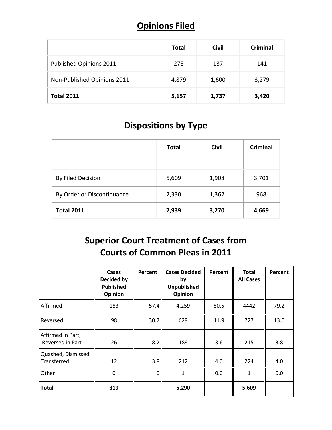#### **Opinions Filed**

|                             | <b>Total</b> | <b>Civil</b> | <b>Criminal</b> |
|-----------------------------|--------------|--------------|-----------------|
| Published Opinions 2011     | 278          | 137          | 141             |
| Non-Published Opinions 2011 | 4,879        | 1,600        | 3,279           |
| <b>Total 2011</b>           | 5,157        | 1,737        | 3,420           |

#### **Dispositions by Type**

|                            | <b>Total</b> | <b>Civil</b> | <b>Criminal</b> |
|----------------------------|--------------|--------------|-----------------|
| By Filed Decision          | 5,609        | 1,908        | 3,701           |
| By Order or Discontinuance | 2,330        | 1,362        | 968             |
| <b>Total 2011</b>          | 7,939        | 3,270        | 4,669           |

#### **Superior Court Treatment of Cases from Courts of Common Pleas in 2011**

|                                       | Cases<br>Decided by<br><b>Published</b><br>Opinion | Percent     | <b>Cases Decided</b><br>by<br><b>Unpublished</b><br>Opinion | Percent | <b>Total</b><br><b>All Cases</b> | Percent |
|---------------------------------------|----------------------------------------------------|-------------|-------------------------------------------------------------|---------|----------------------------------|---------|
| Affirmed                              | 183                                                | 57.4        | 4,259                                                       | 80.5    | 4442                             | 79.2    |
| Reversed                              | 98                                                 | 30.7        | 629                                                         | 11.9    | 727                              | 13.0    |
| Affirmed in Part,<br>Reversed in Part | 26                                                 | 8.2         | 189                                                         | 3.6     | 215                              | 3.8     |
| Quashed, Dismissed,<br>Transferred    | 12                                                 | 3.8         | 212                                                         | 4.0     | 224                              | 4.0     |
| Other                                 | 0                                                  | $\mathbf 0$ | 1                                                           | 0.0     | 1                                | 0.0     |
| <b>Total</b>                          | 319                                                |             | 5,290                                                       |         | 5,609                            |         |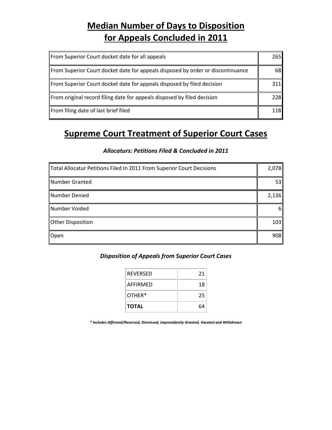#### **Median Number of Days to Disposition for Appeals Concluded in 2011**

| From Superior Court docket date for all appeals                                 | 265I       |
|---------------------------------------------------------------------------------|------------|
| From Superior Court docket date for appeals disposed by order or discontinuance | 68         |
| From Superior Court docket date for appeals disposed by filed decision          | 311        |
| From original record filing date for appeals disposed by filed decision         | 228        |
| From filing date of last brief filed                                            | <b>118</b> |

#### **Supreme Court Treatment of Superior Court Cases**

#### *Allocaturs: Petitions Filed & Concluded in 2011*

| Total Allocatur Petitions Filed In 2011 From Superior Court Decisions | 2,078 |
|-----------------------------------------------------------------------|-------|
| Number Granted                                                        | 53    |
| Number Denied                                                         | 2,136 |
| Number Voided                                                         | 61    |
| Other Disposition                                                     | 103   |
| Open                                                                  | 908   |

#### *Disposition of Appeals from Superior Court Cases*

| <b>REVERSED</b> | 21 |
|-----------------|----|
| AFFIRMFD        | 18 |
| OTHER*          | 25 |
| <b>TOTAL</b>    | ĥЛ |

*\* Includes Affirmed/Reversed, Dismissed, Improvidently Granted, Vacated and Withdrawn*